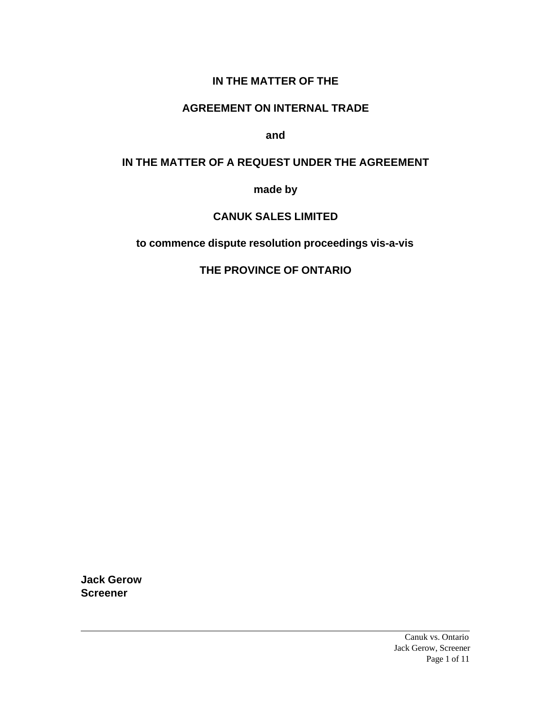### **IN THE MATTER OF THE**

#### **AGREEMENT ON INTERNAL TRADE**

**and**

#### **IN THE MATTER OF A REQUEST UNDER THE AGREEMENT**

**made by**

#### **CANUK SALES LIMITED**

**to commence dispute resolution proceedings vis-a-vis**

## **THE PROVINCE OF ONTARIO**

**Jack Gerow Screener**

> Canuk vs. Ontario Jack Gerow, Screener Page 1 of 11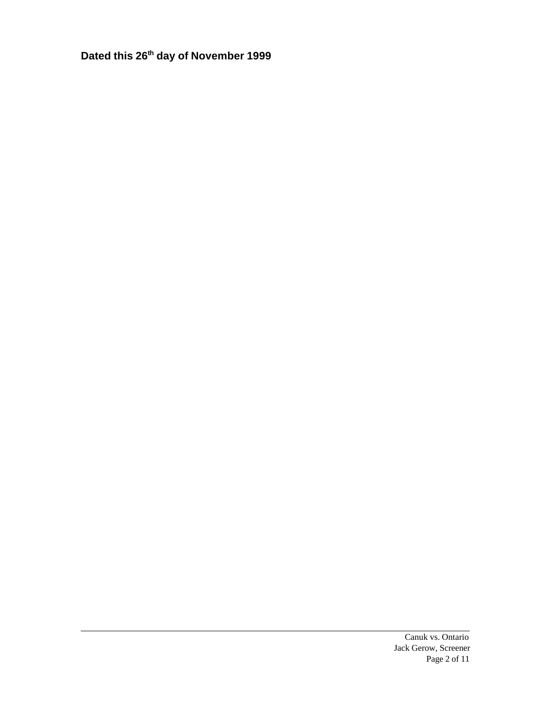**Dated this 26th day of November 1999**

Canuk vs. Ontario Jack Gerow, Screener Page 2 of 11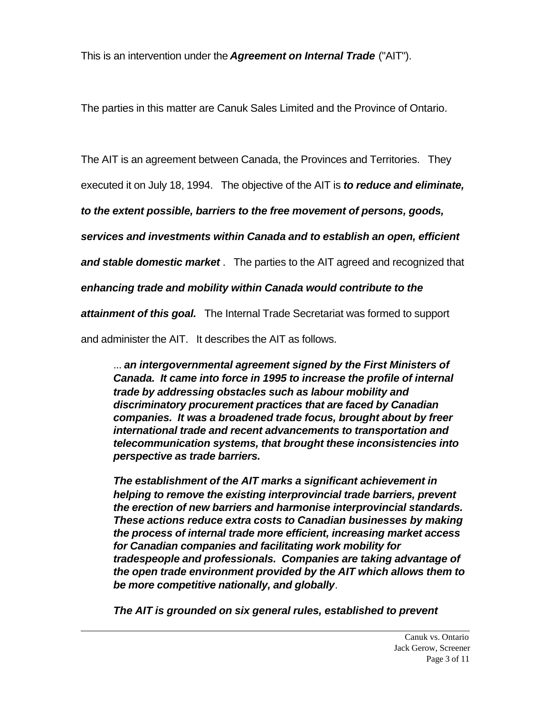This is an intervention under the *Agreement on Internal Trade* ("AIT").

The parties in this matter are Canuk Sales Limited and the Province of Ontario.

The AIT is an agreement between Canada, the Provinces and Territories. They

executed it on July 18, 1994. The objective of the AIT is *to reduce and eliminate,*

*to the extent possible, barriers to the free movement of persons, goods,*

*services and investments within Canada and to establish an open, efficient*

*and stable domestic market* . The parties to the AIT agreed and recognized that

*enhancing trade and mobility within Canada would contribute to the*

*attainment of this goal.* The Internal Trade Secretariat was formed to support

and administer the AIT. It describes the AIT as follows.

... *an intergovernmental agreement signed by the First Ministers of Canada. It came into force in 1995 to increase the profile of internal trade by addressing obstacles such as labour mobility and discriminatory procurement practices that are faced by Canadian companies. It was a broadened trade focus, brought about by freer international trade and recent advancements to transportation and telecommunication systems, that brought these inconsistencies into perspective as trade barriers.*

*The establishment of the AIT marks a significant achievement in helping to remove the existing interprovincial trade barriers, prevent the erection of new barriers and harmonise interprovincial standards. These actions reduce extra costs to Canadian businesses by making the process of internal trade more efficient, increasing market access for Canadian companies and facilitating work mobility for tradespeople and professionals. Companies are taking advantage of the open trade environment provided by the AIT which allows them to be more competitive nationally, and globally.* 

*The AIT is grounded on six general rules, established to prevent*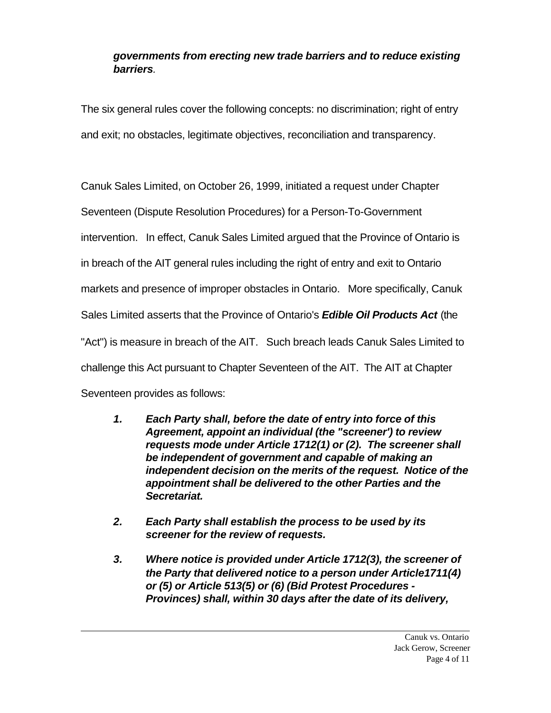### *governments from erecting new trade barriers and to reduce existing barriers.*

The six general rules cover the following concepts: no discrimination; right of entry and exit; no obstacles, legitimate objectives, reconciliation and transparency.

Canuk Sales Limited, on October 26, 1999, initiated a request under Chapter Seventeen (Dispute Resolution Procedures) for a Person-To-Government intervention. In effect, Canuk Sales Limited argued that the Province of Ontario is in breach of the AIT general rules including the right of entry and exit to Ontario markets and presence of improper obstacles in Ontario. More specifically, Canuk Sales Limited asserts that the Province of Ontario's *Edible Oil Products Act* (the "Act") is measure in breach of the AIT. Such breach leads Canuk Sales Limited to challenge this Act pursuant to Chapter Seventeen of the AIT. The AIT at Chapter Seventeen provides as follows:

- *1. Each Party shall, before the date of entry into force of this Agreement, appoint an individual (the "screener') to review requests mode under Article 1712(1) or (2). The screener shall be independent of government and capable of making an independent decision on the merits of the request. Notice of the appointment shall be delivered to the other Parties and the Secretariat.*
- *2. Each Party shall establish the process to be used by its screener for the review of requests.*
- *3. Where notice is provided under Article 1712(3), the screener of the Party that delivered notice to a person under Article1711(4) or (5) or Article 513(5) or (6) (Bid Protest Procedures - Provinces) shall, within 30 days after the date of its delivery,*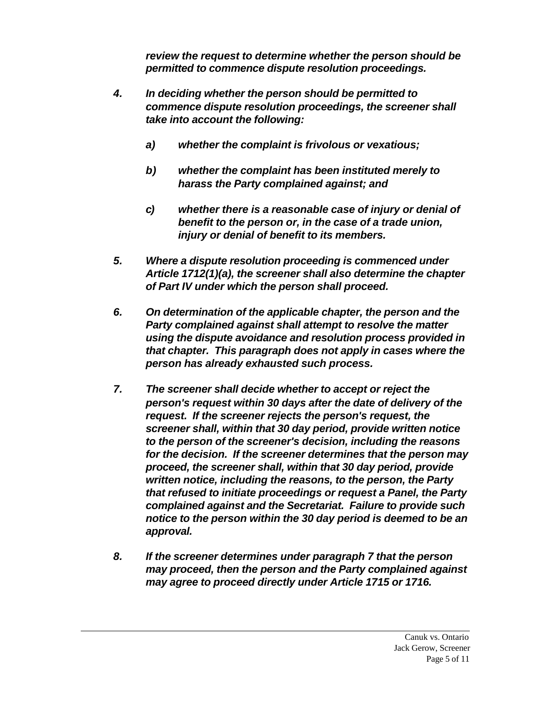*review the request to determine whether the person should be permitted to commence dispute resolution proceedings.*

- *4. In deciding whether the person should be permitted to commence dispute resolution proceedings, the screener shall take into account the following:*
	- *a) whether the complaint is frivolous or vexatious;*
	- *b) whether the complaint has been instituted merely to harass the Party complained against; and*
	- *c) whether there is a reasonable case of injury or denial of benefit to the person or, in the case of a trade union, injury or denial of benefit to its members.*
- *5. Where a dispute resolution proceeding is commenced under Article 1712(1)(a), the screener shall also determine the chapter of Part IV under which the person shall proceed.*
- *6. On determination of the applicable chapter, the person and the Party complained against shall attempt to resolve the matter using the dispute avoidance and resolution process provided in that chapter. This paragraph does not apply in cases where the person has already exhausted such process.*
- *7. The screener shall decide whether to accept or reject the person's request within 30 days after the date of delivery of the request. If the screener rejects the person's request, the screener shall, within that 30 day period, provide written notice to the person of the screener's decision, including the reasons for the decision. If the screener determines that the person may proceed, the screener shall, within that 30 day period, provide written notice, including the reasons, to the person, the Party that refused to initiate proceedings or request a Panel, the Party complained against and the Secretariat. Failure to provide such notice to the person within the 30 day period is deemed to be an approval.*
- *8. If the screener determines under paragraph 7 that the person may proceed, then the person and the Party complained against may agree to proceed directly under Article 1715 or 1716.*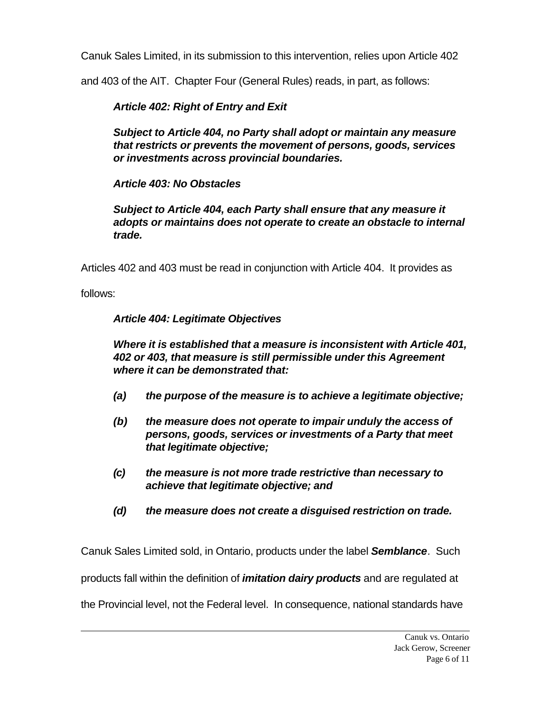Canuk Sales Limited, in its submission to this intervention, relies upon Article 402

and 403 of the AIT. Chapter Four (General Rules) reads, in part, as follows:

## *Article 402: Right of Entry and Exit*

*Subject to Article 404, no Party shall adopt or maintain any measure that restricts or prevents the movement of persons, goods, services or investments across provincial boundaries.*

## *Article 403: No Obstacles*

*Subject to Article 404, each Party shall ensure that any measure it adopts or maintains does not operate to create an obstacle to internal trade.*

Articles 402 and 403 must be read in conjunction with Article 404. It provides as

follows:

# *Article 404: Legitimate Objectives*

*Where it is established that a measure is inconsistent with Article 401, 402 or 403, that measure is still permissible under this Agreement where it can be demonstrated that:*

- *(a) the purpose of the measure is to achieve a legitimate objective;*
- *(b) the measure does not operate to impair unduly the access of persons, goods, services or investments of a Party that meet that legitimate objective;*
- *(c) the measure is not more trade restrictive than necessary to achieve that legitimate objective; and*
- *(d) the measure does not create a disguised restriction on trade.*

Canuk Sales Limited sold, in Ontario, products under the label *Semblance.* Such

products fall within the definition of *imitation dairy products* and are regulated at

the Provincial level, not the Federal level. In consequence, national standards have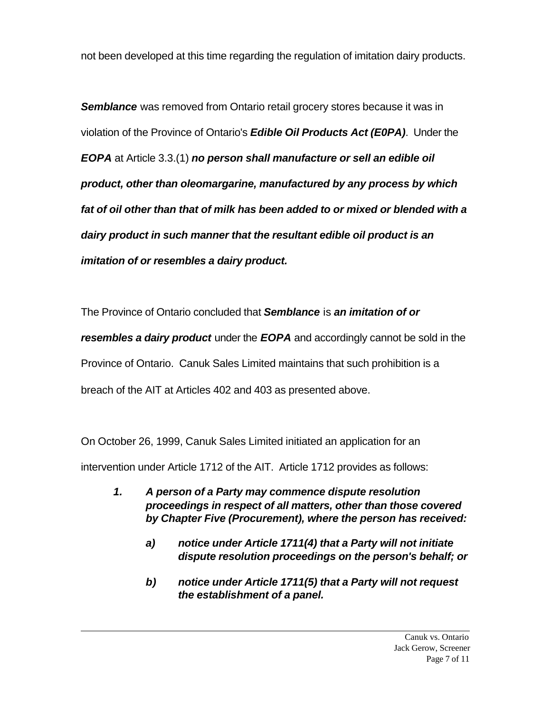not been developed at this time regarding the regulation of imitation dairy products.

**Semblance** was removed from Ontario retail grocery stores because it was in violation of the Province of Ontario's *Edible Oil Products Act (E0PA)*. Under the *EOPA* at Article 3.3.(1) *no person shall manufacture or sell an edible oil product, other than oleomargarine, manufactured by any process by which fat of oil other than that of milk has been added to or mixed or blended with a dairy product in such manner that the resultant edible oil product is an imitation of or resembles a dairy product.*

The Province of Ontario concluded that *Semblance* is *an imitation of or resembles a dairy product* under the *EOPA* and accordingly cannot be sold in the Province of Ontario. Canuk Sales Limited maintains that such prohibition is a breach of the AIT at Articles 402 and 403 as presented above.

On October 26, 1999, Canuk Sales Limited initiated an application for an intervention under Article 1712 of the AIT. Article 1712 provides as follows:

- *1. A person of a Party may commence dispute resolution proceedings in respect of all matters, other than those covered by Chapter Five (Procurement), where the person has received:*
	- *a) notice under Article 1711(4) that a Party will not initiate dispute resolution proceedings on the person's behalf; or*
	- *b) notice under Article 1711(5) that a Party will not request the establishment of a panel.*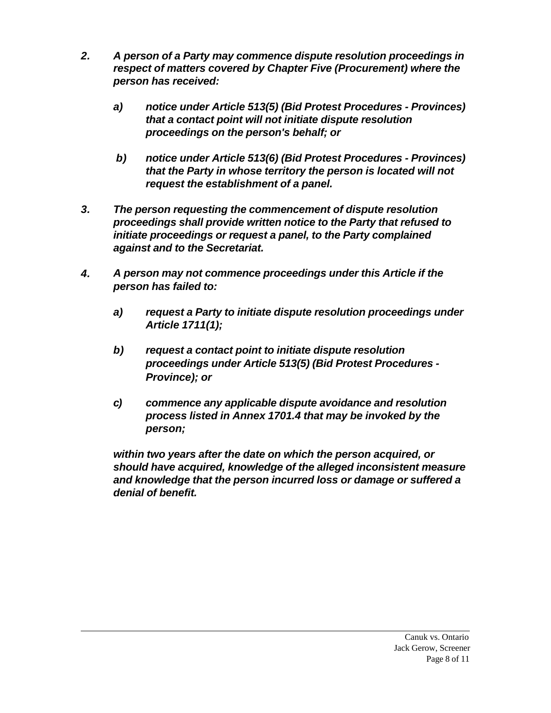- *2. A person of a Party may commence dispute resolution proceedings in respect of matters covered by Chapter Five (Procurement) where the person has received:*
	- *a) notice under Article 513(5) (Bid Protest Procedures Provinces) that a contact point will not initiate dispute resolution proceedings on the person's behalf; or*
	- *b) notice under Article 513(6) (Bid Protest Procedures Provinces) that the Party in whose territory the person is located will not request the establishment of a panel.*
- *3. The person requesting the commencement of dispute resolution proceedings shall provide written notice to the Party that refused to initiate proceedings or request a panel, to the Party complained against and to the Secretariat.*
- *4. A person may not commence proceedings under this Article if the person has failed to:*
	- *a) request a Party to initiate dispute resolution proceedings under Article 1711(1);*
	- *b) request a contact point to initiate dispute resolution proceedings under Article 513(5) (Bid Protest Procedures - Province); or*
	- *c) commence any applicable dispute avoidance and resolution process listed in Annex 1701.4 that may be invoked by the person;*

*within two years after the date on which the person acquired, or should have acquired, knowledge of the alleged inconsistent measure and knowledge that the person incurred loss or damage or suffered a denial of benefit.*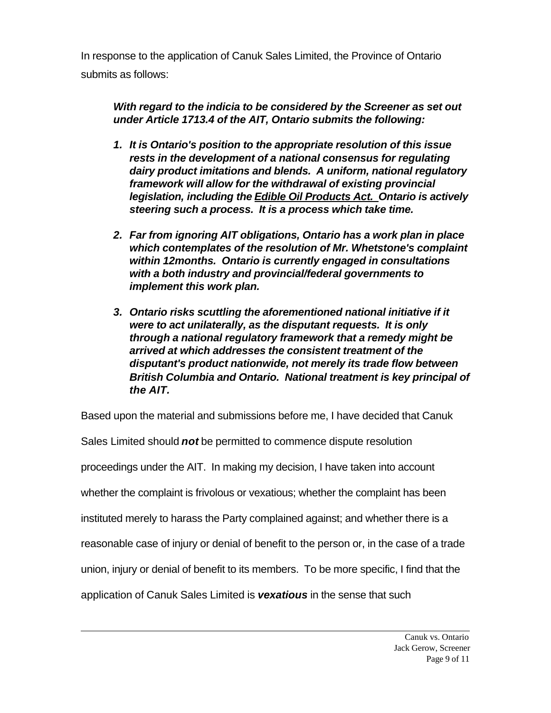In response to the application of Canuk Sales Limited, the Province of Ontario submits as follows:

*With regard to the indicia to be considered by the Screener as set out under Article 1713.4 of the AIT, Ontario submits the following:*

- *1. It is Ontario's position to the appropriate resolution of this issue rests in the development of a national consensus for regulating dairy product imitations and blends. A uniform, national regulatory framework will allow for the withdrawal of existing provincial legislation, including the Edible Oil Products Act. Ontario is actively steering such a process. It is a process which take time.*
- *2. Far from ignoring AIT obligations, Ontario has a work plan in place which contemplates of the resolution of Mr. Whetstone's complaint within 12months. Ontario is currently engaged in consultations with a both industry and provincial/federal governments to implement this work plan.*
- *3. Ontario risks scuttling the aforementioned national initiative if it were to act unilaterally, as the disputant requests. It is only through a national regulatory framework that a remedy might be arrived at which addresses the consistent treatment of the disputant's product nationwide, not merely its trade flow between British Columbia and Ontario. National treatment is key principal of the AIT.*

Based upon the material and submissions before me, I have decided that Canuk

Sales Limited should *not* be permitted to commence dispute resolution proceedings under the AIT. In making my decision, I have taken into account whether the complaint is frivolous or vexatious; whether the complaint has been instituted merely to harass the Party complained against; and whether there is a reasonable case of injury or denial of benefit to the person or, in the case of a trade union, injury or denial of benefit to its members. To be more specific, I find that the application of Canuk Sales Limited is *vexatious* in the sense that such